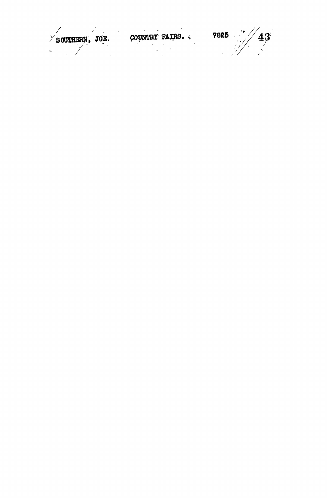SCUTHERN, JOE. COUNTRY FAIRS. 7825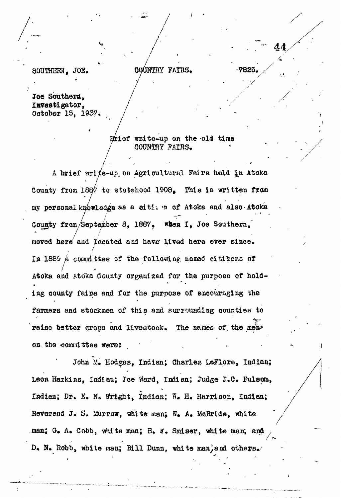## OOUNTHY FAIRS. 7825.

/•

**44.**

SOUTHERN, JOE,

Joe Southern, Investigator, Ootober 15, 1937.

> $R$ rief write-up on the old time COUNTRY FAIRS.

A brief vrri/o-up, on Agricultural Fedrs held *lj\* Atoka Couaty from 1887 to statehood 1908. This is written from my personal knowledge ss a oiti; m of Atoka aad also Atoka County from/Septe^abar 8, 1887 ? *\*hen* I, Joe Southern,' moved here' and located and have lived here ever since. In 1889  $\mu$  committee of the following named citizens of Atoka and Atoka County organized for the purpose of hold ing county fairs and for the purpose of encouraging the iog aouoty fai»s and for the purpose of encouraging the farmers and stockmen of this and surrounding oounties to raise better crops and livestock:. The names of. the me&»

on. the -committee were:  $J_{\rm eff}$  M, Hodges, Indian;  $J_{\rm eff}$  , ladian;  $J_{\rm eff}$  , ladian;  $J_{\rm eff}$  , ladian;  $J_{\rm eff}$  $\mathcal{L} = \frac{1}{2} \sum_{i=1}^{n} \frac{1}{2} \sum_{j=1}^{n} \frac{1}{2} \sum_{j=1}^{n} \frac{1}{2} \sum_{j=1}^{n} \frac{1}{2} \sum_{j=1}^{n} \frac{1}{2} \sum_{j=1}^{n} \frac{1}{2} \sum_{j=1}^{n} \frac{1}{2} \sum_{j=1}^{n} \frac{1}{2} \sum_{j=1}^{n} \frac{1}{2} \sum_{j=1}^{n} \frac{1}{2} \sum_{j=1}^{n} \frac{1}{2} \sum_{j=1}^{n} \frac{1}{2} \sum$ Iadiaa; Dr, S. *lU* Wright, Indian; W« H. Harrison, Indian; Reverend J. S. Murrow, white man; W. A. McBride, white  $B_{\rm eff}$  S. Murrow,  $\sim$  MeBride, white manifolds  $\sim$  MeBride, white manifolds  $\sim$ D. N. Robb, white man; Bill Dunn, white man, and others.

be, white man; Bill Duan, white man; Bill Duan, whit⊜ man; Bill Duan, which otharsverse man; Bill Duan, which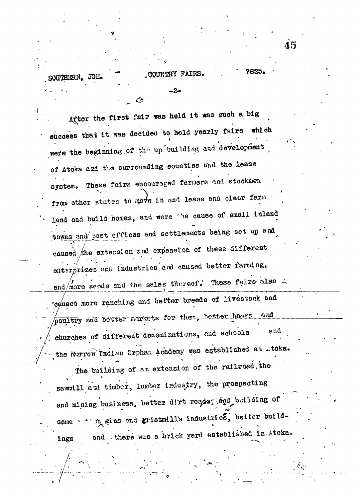SOUTHERN. JOE.

그동

7825. COUNTRY FAIRS.

Aftor the first fair was held it was such a big success that it was decided to hold yearly fairs which were the beginning of the up building and development of Atoka and the surrounding counties and the lease system. These fairs encouraged farmers and stockmen from other states to move in and lease and clear farm land and build homes, and were 'he cause of small inland towns and post offices and settlements being set up and caused the extension and expansion of these different emterprizes and industries and caused better farming, and/more seeds and the sales thereof. These fairs also = caused more ranching and better breeds of livestock and poultry and better markets for them, better homes and

churches of different denominations, and schools and the Murrow Indian Orphan Academy was established at ..toka.

The building of an extension of the railroad, the sawmill and timber, lumber industry, the prospecting and mining business, better dirt roads; and building of ing gins end gristmill's industries, better buildsome  $\gamma$ <sup>+</sup> and there was a brick yard established in Ltoka. ings

45